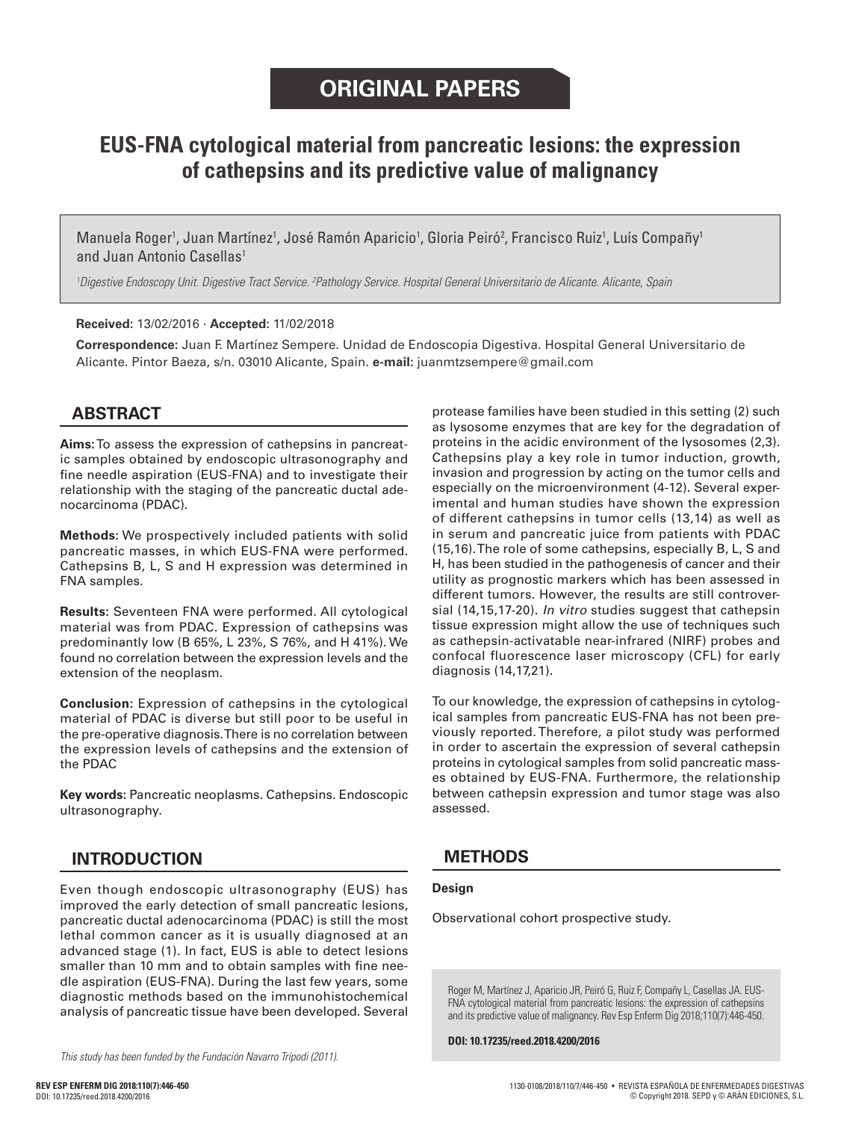# **EUS-FNA cytological material from pancreatic lesions: the expression of cathepsins and its predictive value of malignancy**

Manuela Roger<sup>1</sup>, Juan Martínez<sup>1</sup>, José Ramón Aparicio<sup>1</sup>, Gloria Peiró<sup>2</sup>, Francisco Ruiz<sup>1</sup>, Luís Compañy<sup>1</sup> and Juan Antonio Casellas<sup>1</sup>

*1 Digestive Endoscopy Unit. Digestive Tract Service. 2 Pathology Service. Hospital General Universitario de Alicante. Alicante, Spain*

**Received:** 13/02/2016 · **Accepted:** 11/02/2018

**Correspondence:** Juan F. Martínez Sempere. Unidad de Endoscopia Digestiva. Hospital General Universitario de Alicante. Pintor Baeza, s/n. 03010 Alicante, Spain. **e-mail:** juanmtzsempere@gmail.com

# **ABSTRACT**

**Aims:** To assess the expression of cathepsins in pancreatic samples obtained by endoscopic ultrasonography and fine needle aspiration (EUS-FNA) and to investigate their relationship with the staging of the pancreatic ductal adenocarcinoma (PDAC).

**Methods:** We prospectively included patients with solid pancreatic masses, in which EUS-FNA were performed. Cathepsins B, L, S and H expression was determined in FNA samples.

**Results:** Seventeen FNA were performed. All cytological material was from PDAC. Expression of cathepsins was predominantly low (B 65%, L 23%, S 76%, and H 41%). We found no correlation between the expression levels and the extension of the neoplasm.

**Conclusion:** Expression of cathepsins in the cytological material of PDAC is diverse but still poor to be useful in the pre-operative diagnosis. There is no correlation between the expression levels of cathepsins and the extension of the PDAC

**Key words:** Pancreatic neoplasms. Cathepsins. Endoscopic ultrasonography.

# **INTRODUCTION**

Even though endoscopic ultrasonography (EUS) has improved the early detection of small pancreatic lesions, pancreatic ductal adenocarcinoma (PDAC) is still the most lethal common cancer as it is usually diagnosed at an advanced stage (1). In fact, EUS is able to detect lesions smaller than 10 mm and to obtain samples with fine needle aspiration (EUS-FNA). During the last few years, some diagnostic methods based on the immunohistochemical analysis of pancreatic tissue have been developed. Several

*This study has been funded by the Fundación Navarro Trípodi (2011).*

protease families have been studied in this setting (2) such as lysosome enzymes that are key for the degradation of proteins in the acidic environment of the lysosomes (2,3). Cathepsins play a key role in tumor induction, growth, invasion and progression by acting on the tumor cells and especially on the microenvironment (4-12). Several experimental and human studies have shown the expression of different cathepsins in tumor cells (13,14) as well as in serum and pancreatic juice from patients with PDAC (15,16). The role of some cathepsins, especially B, L, S and H, has been studied in the pathogenesis of cancer and their utility as prognostic markers which has been assessed in different tumors. However, the results are still controversial (14,15,17-20). *In vitro* studies suggest that cathepsin tissue expression might allow the use of techniques such as cathepsin-activatable near-infrared (NIRF) probes and confocal fluorescence laser microscopy (CFL) for early diagnosis (14,17,21).

To our knowledge, the expression of cathepsins in cytological samples from pancreatic EUS-FNA has not been previously reported. Therefore, a pilot study was performed in order to ascertain the expression of several cathepsin proteins in cytological samples from solid pancreatic masses obtained by EUS-FNA. Furthermore, the relationship between cathepsin expression and tumor stage was also assessed.

## **METHODS**

#### **Design**

Observational cohort prospective study.

Roger M, Martínez J, Aparicio JR, Peiró G, Ruiz F, Compañy L, Casellas JA. EUS-FNA cytological material from pancreatic lesions: the expression of cathepsins and its predictive value of malignancy. Rev Esp Enferm Dig 2018;110(7):446-450.

**DOI: 10.17235/reed.2018.4200/2016**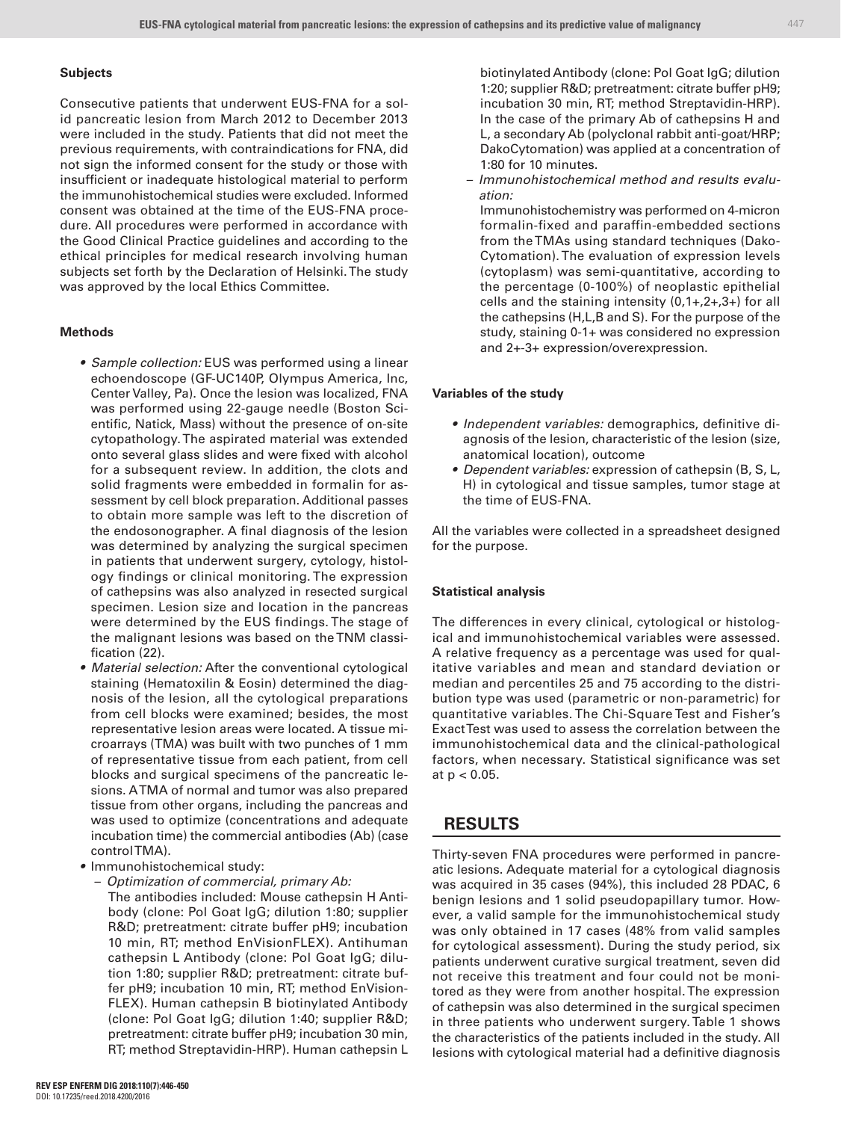#### **Subjects**

Consecutive patients that underwent EUS-FNA for a solid pancreatic lesion from March 2012 to December 2013 were included in the study. Patients that did not meet the previous requirements, with contraindications for FNA, did not sign the informed consent for the study or those with insufficient or inadequate histological material to perform the immunohistochemical studies were excluded. Informed consent was obtained at the time of the EUS-FNA procedure. All procedures were performed in accordance with the Good Clinical Practice guidelines and according to the ethical principles for medical research involving human subjects set forth by the Declaration of Helsinki. The study was approved by the local Ethics Committee.

#### **Methods**

- *Sample collection:* EUS was performed using a linear echoendoscope (GF-UC140P, Olympus America, Inc, Center Valley, Pa). Once the lesion was localized, FNA was performed using 22-gauge needle (Boston Scientific, Natick, Mass) without the presence of on-site cytopathology. The aspirated material was extended onto several glass slides and were fixed with alcohol for a subsequent review. In addition, the clots and solid fragments were embedded in formalin for assessment by cell block preparation. Additional passes to obtain more sample was left to the discretion of the endosonographer. A final diagnosis of the lesion was determined by analyzing the surgical specimen in patients that underwent surgery, cytology, histology findings or clinical monitoring. The expression of cathepsins was also analyzed in resected surgical specimen. Lesion size and location in the pancreas were determined by the EUS findings. The stage of the malignant lesions was based on the TNM classification (22).
- *Material selection:* After the conventional cytological staining (Hematoxilin & Eosin) determined the diagnosis of the lesion, all the cytological preparations from cell blocks were examined; besides, the most representative lesion areas were located. A tissue microarrays (TMA) was built with two punches of 1 mm of representative tissue from each patient, from cell blocks and surgical specimens of the pancreatic lesions. A TMA of normal and tumor was also prepared tissue from other organs, including the pancreas and was used to optimize (concentrations and adequate incubation time) the commercial antibodies (Ab) (case control TMA).
- Immunohistochemical study:
	- *Optimization of commercial, primary Ab:*

The antibodies included: Mouse cathepsin H Antibody (clone: Pol Goat IgG; dilution 1:80; supplier R&D; pretreatment: citrate buffer pH9; incubation 10 min, RT; method EnVisionFLEX). Antihuman cathepsin L Antibody (clone: Pol Goat IgG; dilution 1:80; supplier R&D; pretreatment: citrate buffer pH9; incubation 10 min, RT; method EnVision-FLEX). Human cathepsin B biotinylated Antibody (clone: Pol Goat IgG; dilution 1:40; supplier R&D; pretreatment: citrate buffer pH9; incubation 30 min, RT; method Streptavidin-HRP). Human cathepsin L

biotinylated Antibody (clone: Pol Goat IgG; dilution 1:20; supplier R&D; pretreatment: citrate buffer pH9; incubation 30 min, RT; method Streptavidin-HRP). In the case of the primary Ab of cathepsins H and L, a secondary Ab (polyclonal rabbit anti-goat/HRP; DakoCytomation) was applied at a concentration of 1:80 for 10 minutes.

*– Immunohistochemical method and results evaluation:*

Immunohistochemistry was performed on 4-micron formalin-fixed and paraffin-embedded sections from the TMAs using standard techniques (Dako-Cytomation). The evaluation of expression levels (cytoplasm) was semi-quantitative, according to the percentage (0-100%) of neoplastic epithelial cells and the staining intensity (0,1+,2+,3+) for all the cathepsins (H,L,B and S). For the purpose of the study, staining 0-1+ was considered no expression and 2+-3+ expression/overexpression.

#### **Variables of the study**

- *Independent variables:* demographics, definitive diagnosis of the lesion, characteristic of the lesion (size, anatomical location), outcome
- *Dependent variables:* expression of cathepsin (B, S, L, H) in cytological and tissue samples, tumor stage at the time of EUS-FNA.

All the variables were collected in a spreadsheet designed for the purpose.

#### **Statistical analysis**

The differences in every clinical, cytological or histological and immunohistochemical variables were assessed. A relative frequency as a percentage was used for qualitative variables and mean and standard deviation or median and percentiles 25 and 75 according to the distribution type was used (parametric or non-parametric) for quantitative variables. The Chi-Square Test and Fisher's Exact Test was used to assess the correlation between the immunohistochemical data and the clinical-pathological factors, when necessary. Statistical significance was set at p < 0.05.

## **RESULTS**

Thirty-seven FNA procedures were performed in pancreatic lesions. Adequate material for a cytological diagnosis was acquired in 35 cases (94%), this included 28 PDAC, 6 benign lesions and 1 solid pseudopapillary tumor. However, a valid sample for the immunohistochemical study was only obtained in 17 cases (48% from valid samples for cytological assessment). During the study period, six patients underwent curative surgical treatment, seven did not receive this treatment and four could not be monitored as they were from another hospital. The expression of cathepsin was also determined in the surgical specimen in three patients who underwent surgery. Table 1 shows the characteristics of the patients included in the study. All lesions with cytological material had a definitive diagnosis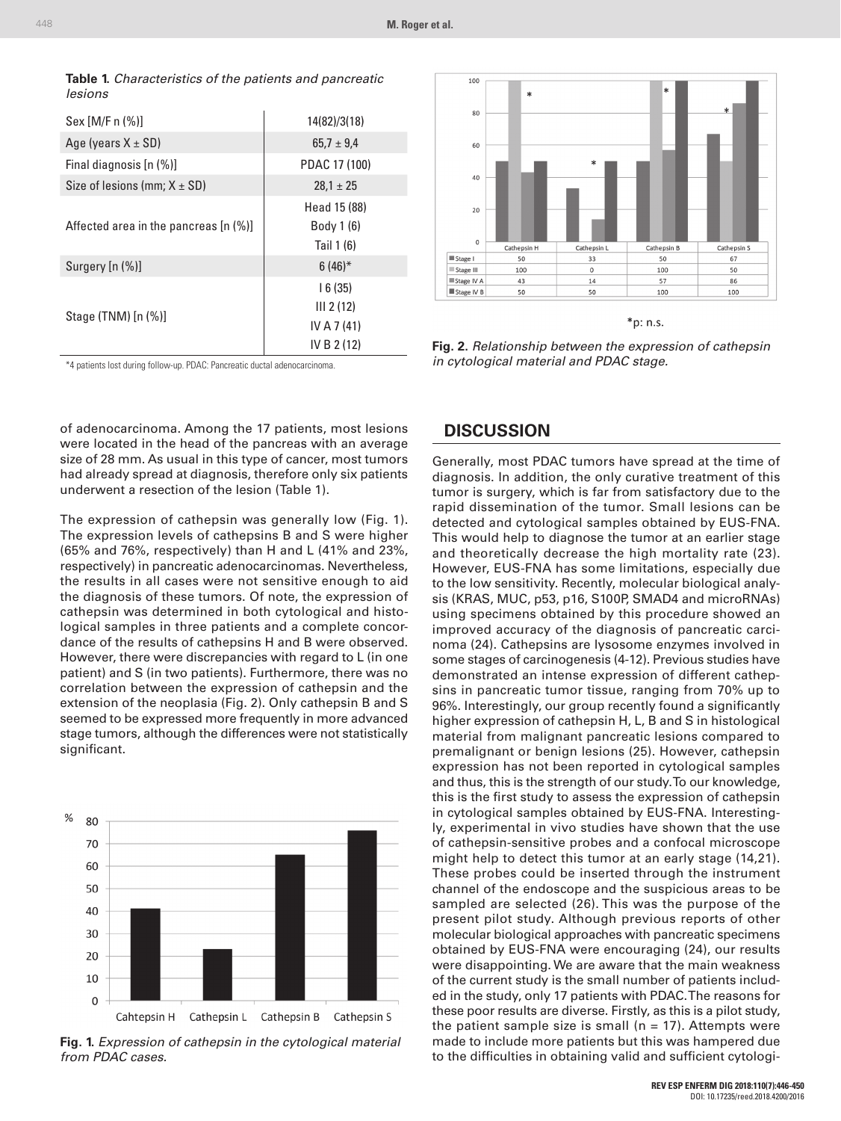| rasio il ondraotonotico or the patiente and paneroatio<br>lesions |                |
|-------------------------------------------------------------------|----------------|
| $Sex [M/F n (\%)]$                                                | 14(82)/3(18)   |
| Age (years $X \pm SD$ )                                           | $65.7 \pm 9.4$ |
| Final diagnosis [n (%)]                                           | PDAC 17 (100)  |
| Size of lesions (mm; $X \pm SD$ )                                 | $28.1 \pm 25$  |
|                                                                   |                |

|         | <b>Table 1.</b> Characteristics of the patients and pancreatic |  |  |
|---------|----------------------------------------------------------------|--|--|
| lesions |                                                                |  |  |

| Age (years X ± SD)                    | $65.7 \pm 9.4$ |  |
|---------------------------------------|----------------|--|
| Final diagnosis [n (%)]               | PDAC 17 (100)  |  |
| Size of lesions (mm; $X \pm SD$ )     | $28.1 \pm 25$  |  |
|                                       | Head 15 (88)   |  |
| Affected area in the pancreas [n (%)] | Body 1 (6)     |  |
|                                       | Tail 1 (6)     |  |
| Surgery [n (%)]                       | $6(46)$ *      |  |
|                                       | 16(35)         |  |
| Stage (TNM) [n (%)]                   | III 2(12)      |  |
|                                       | IV A 7 (41)    |  |
|                                       | IV B 2 (12)    |  |



of adenocarcinoma. Among the 17 patients, most lesions were located in the head of the pancreas with an average size of 28 mm. As usual in this type of cancer, most tumors had already spread at diagnosis, therefore only six patients underwent a resection of the lesion (Table 1).

The expression of cathepsin was generally low (Fig. 1). The expression levels of cathepsins B and S were higher (65% and 76%, respectively) than H and L (41% and 23%, respectively) in pancreatic adenocarcinomas. Nevertheless, the results in all cases were not sensitive enough to aid the diagnosis of these tumors. Of note, the expression of cathepsin was determined in both cytological and histological samples in three patients and a complete concordance of the results of cathepsins H and B were observed. However, there were discrepancies with regard to L (in one patient) and S (in two patients). Furthermore, there was no correlation between the expression of cathepsin and the extension of the neoplasia (Fig. 2). Only cathepsin B and S seemed to be expressed more frequently in more advanced stage tumors, although the differences were not statistically significant.



**Fig. 1.** *Expression of cathepsin in the cytological material from PDAC cases.*



\*p: n.s.

**Fig. 2.** *Relationship between the expression of cathepsin in cytological material and PDAC stage.*

#### **DISCUSSION**

Generally, most PDAC tumors have spread at the time of diagnosis. In addition, the only curative treatment of this tumor is surgery, which is far from satisfactory due to the rapid dissemination of the tumor. Small lesions can be detected and cytological samples obtained by EUS-FNA. This would help to diagnose the tumor at an earlier stage and theoretically decrease the high mortality rate (23). However, EUS-FNA has some limitations, especially due to the low sensitivity. Recently, molecular biological analysis (KRAS, MUC, p53, p16, S100P, SMAD4 and microRNAs) using specimens obtained by this procedure showed an improved accuracy of the diagnosis of pancreatic carcinoma (24). Cathepsins are lysosome enzymes involved in some stages of carcinogenesis (4-12). Previous studies have demonstrated an intense expression of different cathepsins in pancreatic tumor tissue, ranging from 70% up to 96%. Interestingly, our group recently found a significantly higher expression of cathepsin H, L, B and S in histological material from malignant pancreatic lesions compared to premalignant or benign lesions (25). However, cathepsin expression has not been reported in cytological samples and thus, this is the strength of our study. To our knowledge, this is the first study to assess the expression of cathepsin in cytological samples obtained by EUS-FNA. Interestingly, experimental in vivo studies have shown that the use of cathepsin-sensitive probes and a confocal microscope might help to detect this tumor at an early stage (14,21). These probes could be inserted through the instrument channel of the endoscope and the suspicious areas to be sampled are selected (26). This was the purpose of the present pilot study. Although previous reports of other molecular biological approaches with pancreatic specimens obtained by EUS-FNA were encouraging (24), our results were disappointing. We are aware that the main weakness of the current study is the small number of patients included in the study, only 17 patients with PDAC. The reasons for these poor results are diverse. Firstly, as this is a pilot study, the patient sample size is small ( $n = 17$ ). Attempts were made to include more patients but this was hampered due to the difficulties in obtaining valid and sufficient cytologi-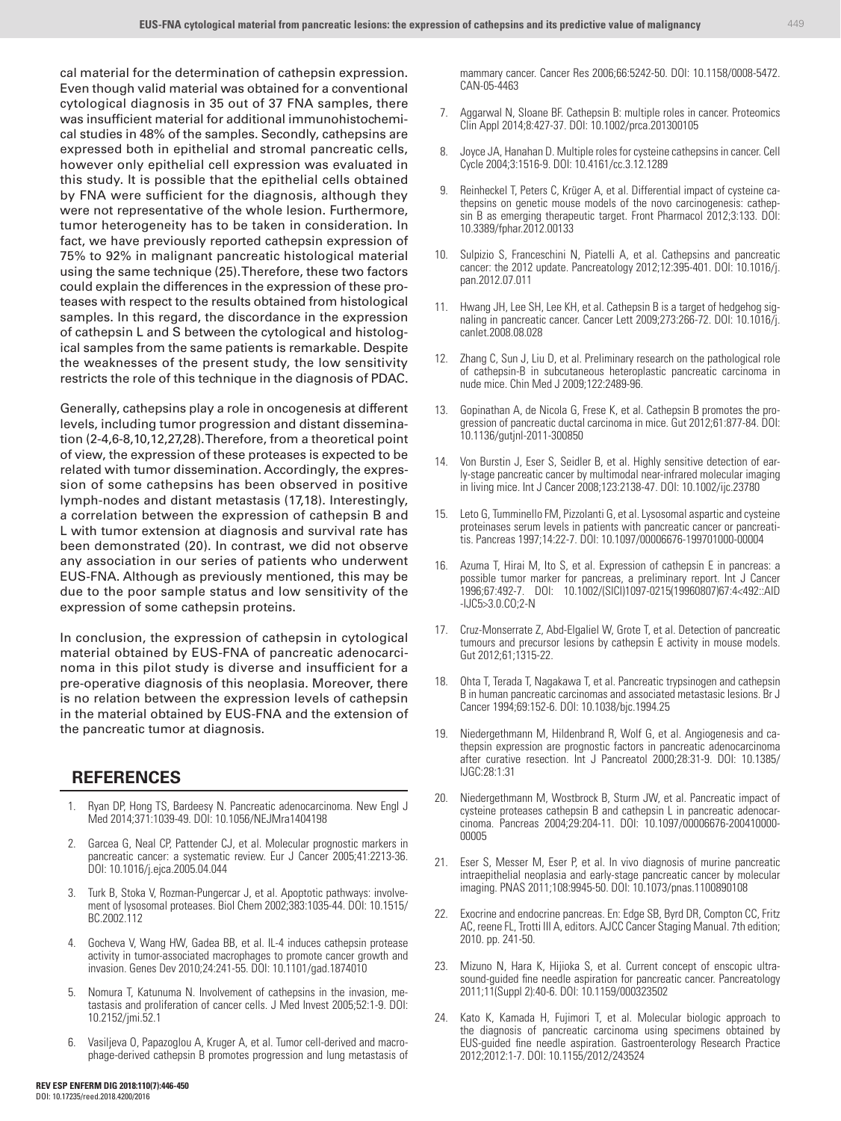cal material for the determination of cathepsin expression. Even though valid material was obtained for a conventional cytological diagnosis in 35 out of 37 FNA samples, there was insufficient material for additional immunohistochemical studies in 48% of the samples. Secondly, cathepsins are expressed both in epithelial and stromal pancreatic cells, however only epithelial cell expression was evaluated in this study. It is possible that the epithelial cells obtained by FNA were sufficient for the diagnosis, although they were not representative of the whole lesion. Furthermore, tumor heterogeneity has to be taken in consideration. In fact, we have previously reported cathepsin expression of 75% to 92% in malignant pancreatic histological material using the same technique (25). Therefore, these two factors could explain the differences in the expression of these proteases with respect to the results obtained from histological samples. In this regard, the discordance in the expression of cathepsin L and S between the cytological and histological samples from the same patients is remarkable. Despite the weaknesses of the present study, the low sensitivity restricts the role of this technique in the diagnosis of PDAC.

Generally, cathepsins play a role in oncogenesis at different levels, including tumor progression and distant dissemination (2-4,6-8,10,12,27,28). Therefore, from a theoretical point of view, the expression of these proteases is expected to be related with tumor dissemination. Accordingly, the expression of some cathepsins has been observed in positive lymph-nodes and distant metastasis (17,18). Interestingly, a correlation between the expression of cathepsin B and L with tumor extension at diagnosis and survival rate has been demonstrated (20). In contrast, we did not observe any association in our series of patients who underwent EUS-FNA. Although as previously mentioned, this may be due to the poor sample status and low sensitivity of the expression of some cathepsin proteins.

In conclusion, the expression of cathepsin in cytological material obtained by EUS-FNA of pancreatic adenocarcinoma in this pilot study is diverse and insufficient for a pre-operative diagnosis of this neoplasia. Moreover, there is no relation between the expression levels of cathepsin in the material obtained by EUS-FNA and the extension of the pancreatic tumor at diagnosis.

## **REFERENCES**

- 1. Ryan DP, Hong TS, Bardeesy N. Pancreatic adenocarcinoma. New Engl J Med 2014;371:1039-49. DOI: 10.1056/NEJMra1404198
- 2. Garcea G, Neal CP, Pattender CJ, et al. Molecular prognostic markers in pancreatic cancer: a systematic review. Eur J Cancer 2005;41:2213-36. DOI: 10.1016/j.ejca.2005.04.044
- 3. Turk B, Stoka V, Rozman-Pungercar J, et al. Apoptotic pathways: involvement of lysosomal proteases. Biol Chem 2002;383:1035-44. DOI: 10.1515/ BC.2002.112
- 4. Gocheva V, Wang HW, Gadea BB, et al. IL-4 induces cathepsin protease activity in tumor-associated macrophages to promote cancer growth and invasion. Genes Dev 2010;24:241-55. DOI: 10.1101/gad.1874010
- 5. Nomura T, Katunuma N. Involvement of cathepsins in the invasion, metastasis and proliferation of cancer cells. J Med Invest 2005;52:1-9. DOI: 10.2152/jmi.52.1
- 6. Vasiljeva O, Papazoglou A, Kruger A, et al. Tumor cell-derived and macrophage-derived cathepsin B promotes progression and lung metastasis of

mammary cancer. Cancer Res 2006;66:5242-50. DOI: 10.1158/0008-5472. CAN-05-4463

- 7. Aggarwal N, Sloane BF. Cathepsin B: multiple roles in cancer. Proteomics Clin Appl 2014;8:427-37. DOI: 10.1002/prca.201300105
- 8. Joyce JA, Hanahan D. Multiple roles for cysteine cathepsins in cancer. Cell Cycle 2004;3:1516-9. DOI: 10.4161/cc.3.12.1289
- 9. Reinheckel T, Peters C, Krüger A, et al. Differential impact of cysteine cathepsins on genetic mouse models of the novo carcinogenesis: cathepsin B as emerging therapeutic target. Front Pharmacol 2012;3:133. DOI: 10.3389/fphar.2012.00133
- 10. Sulpizio S, Franceschini N, Piatelli A, et al. Cathepsins and pancreatic cancer: the 2012 update. Pancreatology 2012;12:395-401. DOI: 10.1016/j. pan.2012.07.011
- 11. Hwang JH, Lee SH, Lee KH, et al. Cathepsin B is a target of hedgehog signaling in pancreatic cancer. Cancer Lett 2009;273:266-72. DOI: 10.1016/j. canlet.2008.08.028
- 12. Zhang C, Sun J, Liu D, et al. Preliminary research on the pathological role of cathepsin-B in subcutaneous heteroplastic pancreatic carcinoma in nude mice. Chin Med J 2009;122:2489-96.
- 13. Gopinathan A, de Nicola G, Frese K, et al. Cathepsin B promotes the progression of pancreatic ductal carcinoma in mice. Gut 2012;61:877-84. DOI: 10.1136/gutjnl-2011-300850
- 14. Von Burstin J, Eser S, Seidler B, et al. Highly sensitive detection of early-stage pancreatic cancer by multimodal near-infrared molecular imaging in living mice. Int J Cancer 2008;123:2138-47. DOI: 10.1002/ijc.23780
- 15. Leto G, Tumminello FM, Pizzolanti G, et al. Lysosomal aspartic and cysteine proteinases serum levels in patients with pancreatic cancer or pancreatitis. Pancreas 1997;14:22-7. DOI: 10.1097/00006676-199701000-00004
- 16. Azuma T, Hirai M, Ito S, et al. Expression of cathepsin E in pancreas: a possible tumor marker for pancreas, a preliminary report. Int J Cancer 1996;67:492-7. DOI: 10.1002/(SICI)1097-0215(19960807)67:4<492::AID -IJC5>3.0.CO;2-N
- 17. Cruz-Monserrate Z, Abd-Elgaliel W, Grote T, et al. Detection of pancreatic tumours and precursor lesions by cathepsin E activity in mouse models. Gut 2012;61;1315-22.
- 18. Ohta T, Terada T, Nagakawa T, et al. Pancreatic trypsinogen and cathepsin B in human pancreatic carcinomas and associated metastasic lesions. Br J Cancer 1994;69:152-6. DOI: 10.1038/bjc.1994.25
- 19. Niedergethmann M, Hildenbrand R, Wolf G, et al. Angiogenesis and cathepsin expression are prognostic factors in pancreatic adenocarcinoma after curative resection. Int J Pancreatol 2000;28:31-9. DOI: 10.1385/ IJGC:28:1:31
- 20. Niedergethmann M, Wostbrock B, Sturm JW, et al. Pancreatic impact of cysteine proteases cathepsin B and cathepsin L in pancreatic adenocarcinoma. Pancreas 2004;29:204-11. DOI: 10.1097/00006676-200410000- 00005
- 21. Eser S, Messer M, Eser P, et al. In vivo diagnosis of murine pancreatic intraepithelial neoplasia and early-stage pancreatic cancer by molecular imaging. PNAS 2011;108:9945-50. DOI: 10.1073/pnas.1100890108
- 22. Exocrine and endocrine pancreas. En: Edge SB, Byrd DR, Compton CC, Fritz AC, reene FL, Trotti III A, editors. AJCC Cancer Staging Manual. 7th edition; 2010. pp. 241-50.
- 23. Mizuno N, Hara K, Hijioka S, et al. Current concept of enscopic ultrasound-guided fine needle aspiration for pancreatic cancer. Pancreatology 2011;11(Suppl 2):40-6. DOI: 10.1159/000323502
- 24. Kato K, Kamada H, Fujimori T, et al. Molecular biologic approach to the diagnosis of pancreatic carcinoma using specimens obtained by EUS-guided fine needle aspiration. Gastroenterology Research Practice 2012;2012:1-7. DOI: 10.1155/2012/243524